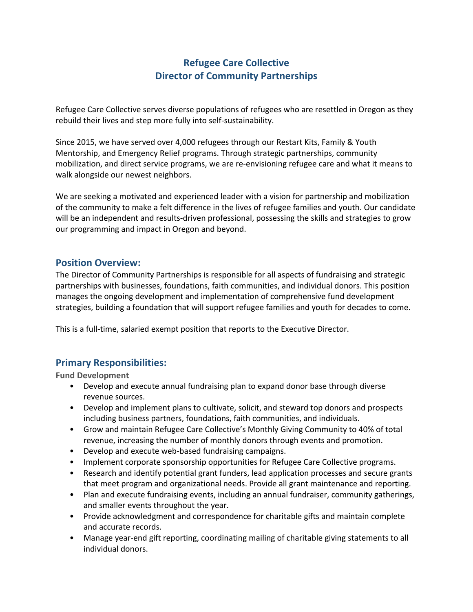# **Refugee Care Collective Director of Community Partnerships**

Refugee Care Collective serves diverse populations of refugees who are resettled in Oregon as they rebuild their lives and step more fully into self-sustainability.

Since 2015, we have served over 4,000 refugees through our Restart Kits, Family & Youth Mentorship, and Emergency Relief programs. Through strategic partnerships, community mobilization, and direct service programs, we are re-envisioning refugee care and what it means to walk alongside our newest neighbors.

We are seeking a motivated and experienced leader with a vision for partnership and mobilization of the community to make a felt difference in the lives of refugee families and youth. Our candidate will be an independent and results-driven professional, possessing the skills and strategies to grow our programming and impact in Oregon and beyond.

#### **Position Overview:**

The Director of Community Partnerships is responsible for all aspects of fundraising and strategic partnerships with businesses, foundations, faith communities, and individual donors. This position manages the ongoing development and implementation of comprehensive fund development strategies, building a foundation that will support refugee families and youth for decades to come.

This is a full-time, salaried exempt position that reports to the Executive Director.

### **Primary Responsibilities:**

**Fund Development**

- Develop and execute annual fundraising plan to expand donor base through diverse revenue sources.
- Develop and implement plans to cultivate, solicit, and steward top donors and prospects including business partners, foundations, faith communities, and individuals.
- Grow and maintain Refugee Care Collective's Monthly Giving Community to 40% of total revenue, increasing the number of monthly donors through events and promotion.
- Develop and execute web-based fundraising campaigns.
- Implement corporate sponsorship opportunities for Refugee Care Collective programs.
- Research and identify potential grant funders, lead application processes and secure grants that meet program and organizational needs. Provide all grant maintenance and reporting.
- Plan and execute fundraising events, including an annual fundraiser, community gatherings, and smaller events throughout the year.
- Provide acknowledgment and correspondence for charitable gifts and maintain complete and accurate records.
- Manage year-end gift reporting, coordinating mailing of charitable giving statements to all individual donors.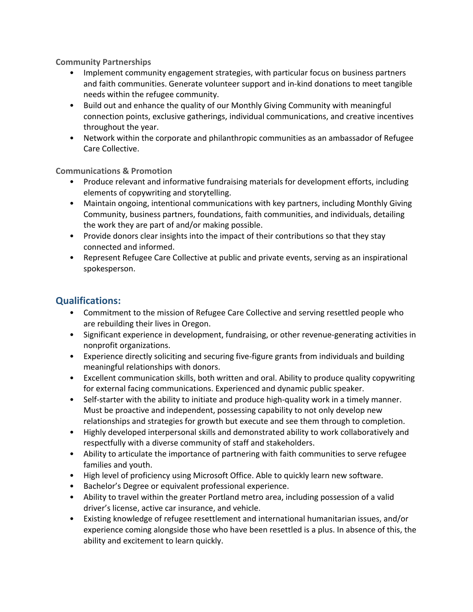**Community Partnerships**

- Implement community engagement strategies, with particular focus on business partners and faith communities. Generate volunteer support and in-kind donations to meet tangible needs within the refugee community.
- Build out and enhance the quality of our Monthly Giving Community with meaningful connection points, exclusive gatherings, individual communications, and creative incentives throughout the year.
- Network within the corporate and philanthropic communities as an ambassador of Refugee Care Collective.

#### **Communications & Promotion**

- Produce relevant and informative fundraising materials for development efforts, including elements of copywriting and storytelling.
- Maintain ongoing, intentional communications with key partners, including Monthly Giving Community, business partners, foundations, faith communities, and individuals, detailing the work they are part of and/or making possible.
- Provide donors clear insights into the impact of their contributions so that they stay connected and informed.
- Represent Refugee Care Collective at public and private events, serving as an inspirational spokesperson.

### **Qualifications:**

- Commitment to the mission of Refugee Care Collective and serving resettled people who are rebuilding their lives in Oregon.
- Significant experience in development, fundraising, or other revenue-generating activities in nonprofit organizations.
- Experience directly soliciting and securing five-figure grants from individuals and building meaningful relationships with donors.
- Excellent communication skills, both written and oral. Ability to produce quality copywriting for external facing communications. Experienced and dynamic public speaker.
- Self-starter with the ability to initiate and produce high-quality work in a timely manner. Must be proactive and independent, possessing capability to not only develop new relationships and strategies for growth but execute and see them through to completion.
- Highly developed interpersonal skills and demonstrated ability to work collaboratively and respectfully with a diverse community of staff and stakeholders.
- Ability to articulate the importance of partnering with faith communities to serve refugee families and youth.
- High level of proficiency using Microsoft Office. Able to quickly learn new software.
- Bachelor's Degree or equivalent professional experience.
- Ability to travel within the greater Portland metro area, including possession of a valid driver's license, active car insurance, and vehicle.
- Existing knowledge of refugee resettlement and international humanitarian issues, and/or experience coming alongside those who have been resettled is a plus. In absence of this, the ability and excitement to learn quickly.